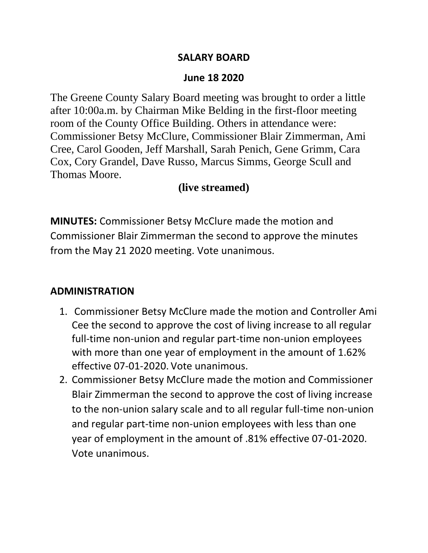#### **SALARY BOARD**

#### **June 18 2020**

The Greene County Salary Board meeting was brought to order a little after 10:00a.m. by Chairman Mike Belding in the first-floor meeting room of the County Office Building. Others in attendance were: Commissioner Betsy McClure, Commissioner Blair Zimmerman, Ami Cree, Carol Gooden, Jeff Marshall, Sarah Penich, Gene Grimm, Cara Cox, Cory Grandel, Dave Russo, Marcus Simms, George Scull and Thomas Moore.

### **(live streamed)**

**MINUTES:** Commissioner Betsy McClure made the motion and Commissioner Blair Zimmerman the second to approve the minutes from the May 21 2020 meeting. Vote unanimous.

### **ADMINISTRATION**

- 1. Commissioner Betsy McClure made the motion and Controller Ami Cee the second to approve the cost of living increase to all regular full-time non-union and regular part-time non-union employees with more than one year of employment in the amount of 1.62% effective 07-01-2020. Vote unanimous.
- 2. Commissioner Betsy McClure made the motion and Commissioner Blair Zimmerman the second to approve the cost of living increase to the non-union salary scale and to all regular full-time non-union and regular part-time non-union employees with less than one year of employment in the amount of .81% effective 07-01-2020. Vote unanimous.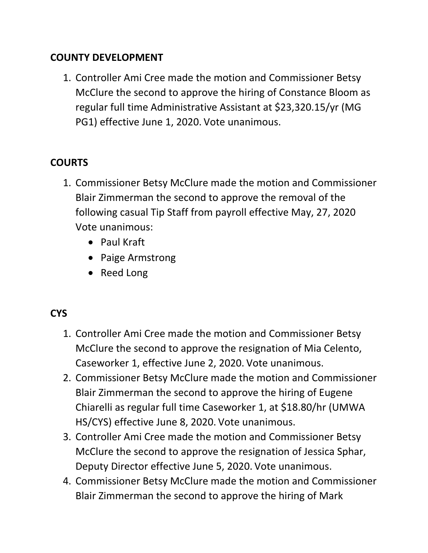## **COUNTY DEVELOPMENT**

1. Controller Ami Cree made the motion and Commissioner Betsy McClure the second to approve the hiring of Constance Bloom as regular full time Administrative Assistant at \$23,320.15/yr (MG PG1) effective June 1, 2020. Vote unanimous.

## **COURTS**

- 1. Commissioner Betsy McClure made the motion and Commissioner Blair Zimmerman the second to approve the removal of the following casual Tip Staff from payroll effective May, 27, 2020 Vote unanimous:
	- Paul Kraft
	- Paige Armstrong
	- Reed Long

# **CYS**

- 1. Controller Ami Cree made the motion and Commissioner Betsy McClure the second to approve the resignation of Mia Celento, Caseworker 1, effective June 2, 2020. Vote unanimous.
- 2. Commissioner Betsy McClure made the motion and Commissioner Blair Zimmerman the second to approve the hiring of Eugene Chiarelli as regular full time Caseworker 1, at \$18.80/hr (UMWA HS/CYS) effective June 8, 2020. Vote unanimous.
- 3. Controller Ami Cree made the motion and Commissioner Betsy McClure the second to approve the resignation of Jessica Sphar, Deputy Director effective June 5, 2020. Vote unanimous.
- 4. Commissioner Betsy McClure made the motion and Commissioner Blair Zimmerman the second to approve the hiring of Mark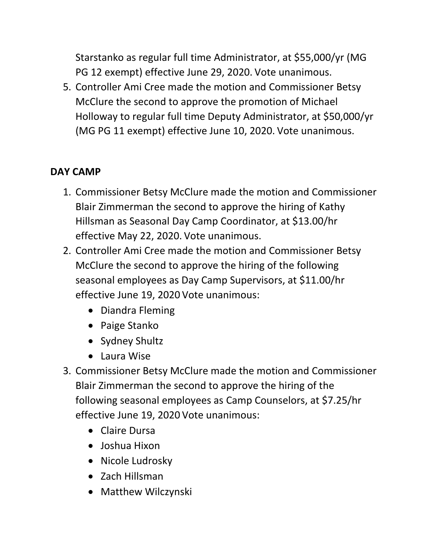Starstanko as regular full time Administrator, at \$55,000/yr (MG PG 12 exempt) effective June 29, 2020. Vote unanimous.

5. Controller Ami Cree made the motion and Commissioner Betsy McClure the second to approve the promotion of Michael Holloway to regular full time Deputy Administrator, at \$50,000/yr (MG PG 11 exempt) effective June 10, 2020. Vote unanimous.

# **DAY CAMP**

- 1. Commissioner Betsy McClure made the motion and Commissioner Blair Zimmerman the second to approve the hiring of Kathy Hillsman as Seasonal Day Camp Coordinator, at \$13.00/hr effective May 22, 2020. Vote unanimous.
- 2. Controller Ami Cree made the motion and Commissioner Betsy McClure the second to approve the hiring of the following seasonal employees as Day Camp Supervisors, at \$11.00/hr effective June 19, 2020 Vote unanimous:
	- Diandra Fleming
	- Paige Stanko
	- Sydney Shultz
	- Laura Wise
- 3. Commissioner Betsy McClure made the motion and Commissioner Blair Zimmerman the second to approve the hiring of the following seasonal employees as Camp Counselors, at \$7.25/hr effective June 19, 2020 Vote unanimous:
	- Claire Dursa
	- Joshua Hixon
	- Nicole Ludrosky
	- Zach Hillsman
	- Matthew Wilczynski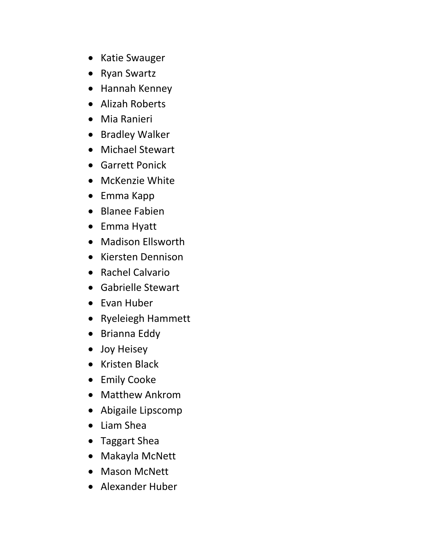- Katie Swauger
- Ryan Swartz
- Hannah Kenney
- Alizah Roberts
- Mia Ranieri
- Bradley Walker
- Michael Stewart
- Garrett Ponick
- McKenzie White
- Emma Kapp
- Blanee Fabien
- Emma Hyatt
- Madison Ellsworth
- Kiersten Dennison
- Rachel Calvario
- Gabrielle Stewart
- Evan Huber
- Ryeleiegh Hammett
- Brianna Eddy
- Joy Heisey
- Kristen Black
- Emily Cooke
- Matthew Ankrom
- Abigaile Lipscomp
- Liam Shea
- Taggart Shea
- Makayla McNett
- Mason McNett
- Alexander Huber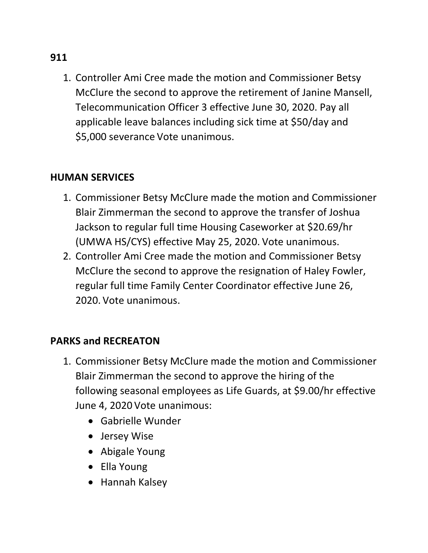1. Controller Ami Cree made the motion and Commissioner Betsy McClure the second to approve the retirement of Janine Mansell, Telecommunication Officer 3 effective June 30, 2020. Pay all applicable leave balances including sick time at \$50/day and \$5,000 severance Vote unanimous.

### **HUMAN SERVICES**

- 1. Commissioner Betsy McClure made the motion and Commissioner Blair Zimmerman the second to approve the transfer of Joshua Jackson to regular full time Housing Caseworker at \$20.69/hr (UMWA HS/CYS) effective May 25, 2020. Vote unanimous.
- 2. Controller Ami Cree made the motion and Commissioner Betsy McClure the second to approve the resignation of Haley Fowler, regular full time Family Center Coordinator effective June 26, 2020. Vote unanimous.

## **PARKS and RECREATON**

- 1. Commissioner Betsy McClure made the motion and Commissioner Blair Zimmerman the second to approve the hiring of the following seasonal employees as Life Guards, at \$9.00/hr effective June 4, 2020 Vote unanimous:
	- Gabrielle Wunder
	- Jersey Wise
	- Abigale Young
	- Ella Young
	- Hannah Kalsey

#### **911**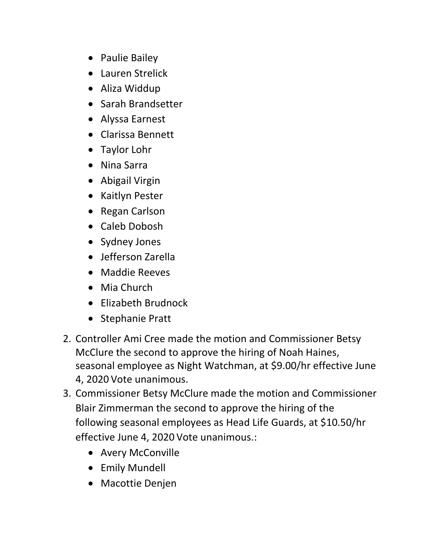- Paulie Bailey
- Lauren Strelick
- Aliza Widdup
- Sarah Brandsetter
- Alyssa Earnest
- Clarissa Bennett
- Taylor Lohr
- Nina Sarra
- Abigail Virgin
- Kaitlyn Pester
- Regan Carlson
- Caleb Dobosh
- Sydney Jones
- Jefferson Zarella
- Maddie Reeves
- Mia Church
- Elizabeth Brudnock
- Stephanie Pratt
- 2. Controller Ami Cree made the motion and Commissioner Betsy McClure the second to approve the hiring of Noah Haines, seasonal employee as Night Watchman, at \$9.00/hr effective June 4, 2020 Vote unanimous.
- 3. Commissioner Betsy McClure made the motion and Commissioner Blair Zimmerman the second to approve the hiring of the following seasonal employees as Head Life Guards, at \$10.50/hr effective June 4, 2020 Vote unanimous.:
	- Avery McConville
	- Emily Mundell
	- Macottie Denjen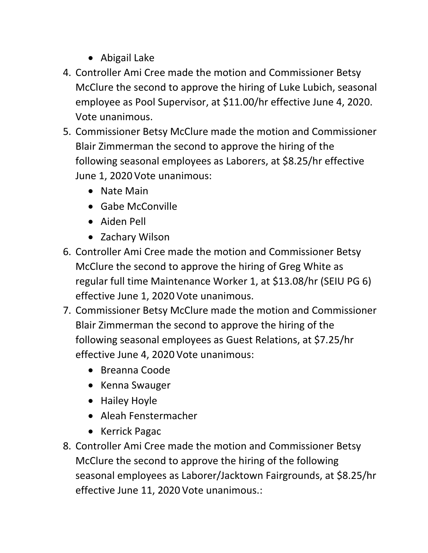- Abigail Lake
- 4. Controller Ami Cree made the motion and Commissioner Betsy McClure the second to approve the hiring of Luke Lubich, seasonal employee as Pool Supervisor, at \$11.00/hr effective June 4, 2020. Vote unanimous.
- 5. Commissioner Betsy McClure made the motion and Commissioner Blair Zimmerman the second to approve the hiring of the following seasonal employees as Laborers, at \$8.25/hr effective June 1, 2020 Vote unanimous:
	- Nate Main
	- Gabe McConville
	- Aiden Pell
	- Zachary Wilson
- 6. Controller Ami Cree made the motion and Commissioner Betsy McClure the second to approve the hiring of Greg White as regular full time Maintenance Worker 1, at \$13.08/hr (SEIU PG 6) effective June 1, 2020 Vote unanimous.
- 7. Commissioner Betsy McClure made the motion and Commissioner Blair Zimmerman the second to approve the hiring of the following seasonal employees as Guest Relations, at \$7.25/hr effective June 4, 2020 Vote unanimous:
	- Breanna Coode
	- Kenna Swauger
	- Hailey Hoyle
	- Aleah Fenstermacher
	- Kerrick Pagac
- 8. Controller Ami Cree made the motion and Commissioner Betsy McClure the second to approve the hiring of the following seasonal employees as Laborer/Jacktown Fairgrounds, at \$8.25/hr effective June 11, 2020 Vote unanimous.: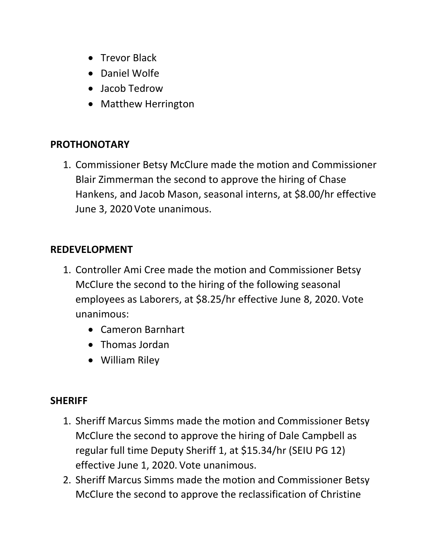- Trevor Black
- Daniel Wolfe
- Jacob Tedrow
- Matthew Herrington

## **PROTHONOTARY**

1. Commissioner Betsy McClure made the motion and Commissioner Blair Zimmerman the second to approve the hiring of Chase Hankens, and Jacob Mason, seasonal interns, at \$8.00/hr effective June 3, 2020 Vote unanimous.

## **REDEVELOPMENT**

- 1. Controller Ami Cree made the motion and Commissioner Betsy McClure the second to the hiring of the following seasonal employees as Laborers, at \$8.25/hr effective June 8, 2020. Vote unanimous:
	- Cameron Barnhart
	- Thomas Jordan
	- William Riley

## **SHERIFF**

- 1. Sheriff Marcus Simms made the motion and Commissioner Betsy McClure the second to approve the hiring of Dale Campbell as regular full time Deputy Sheriff 1, at \$15.34/hr (SEIU PG 12) effective June 1, 2020. Vote unanimous.
- 2. Sheriff Marcus Simms made the motion and Commissioner Betsy McClure the second to approve the reclassification of Christine